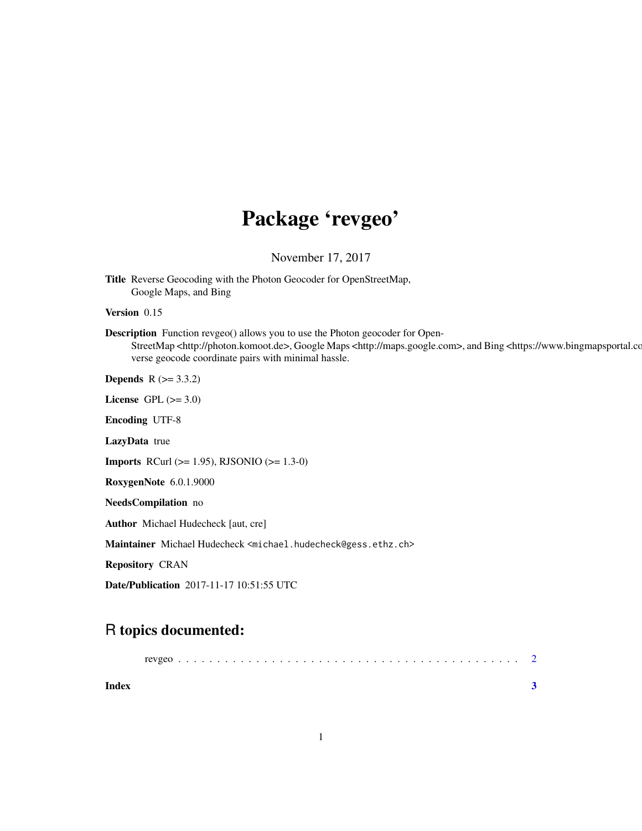## Package 'revgeo'

November 17, 2017

Title Reverse Geocoding with the Photon Geocoder for OpenStreetMap, Google Maps, and Bing

Version 0.15

Description Function revgeo() allows you to use the Photon geocoder for Open-StreetMap <http://photon.komoot.de>, Google Maps <http://maps.google.com>, and Bing <https://www.bingmapsportal.com verse geocode coordinate pairs with minimal hassle.

**Depends** R  $(>= 3.3.2)$ 

License GPL  $(>= 3.0)$ 

Encoding UTF-8

LazyData true

**Imports** RCurl ( $>= 1.95$ ), RJSONIO ( $>= 1.3-0$ )

RoxygenNote 6.0.1.9000

NeedsCompilation no

Author Michael Hudecheck [aut, cre]

Maintainer Michael Hudecheck <michael.hudecheck@gess.ethz.ch>

Repository CRAN

Date/Publication 2017-11-17 10:51:55 UTC

### R topics documented:

| Index |  |  |  |  |  |  |  |  |  |  |  |  |  |  |  |  |  |  |  |  |
|-------|--|--|--|--|--|--|--|--|--|--|--|--|--|--|--|--|--|--|--|--|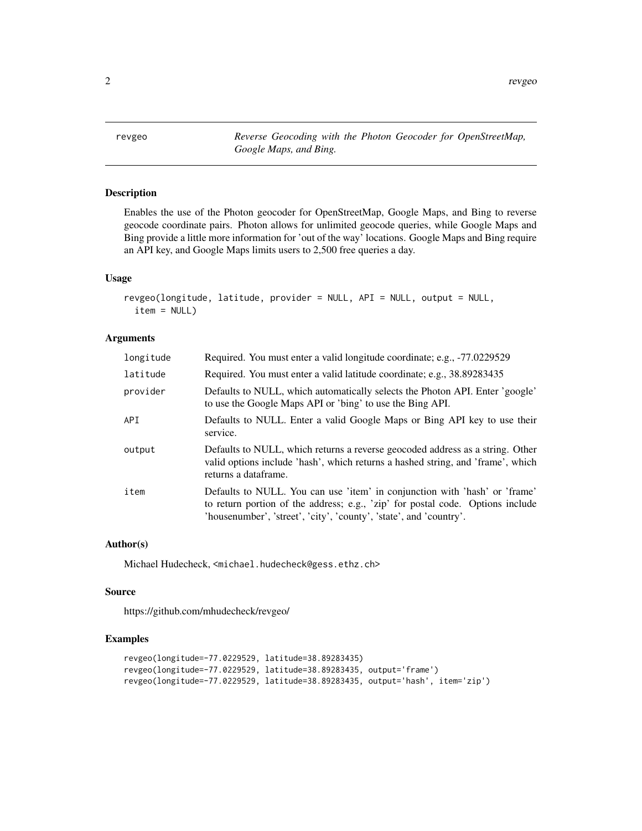<span id="page-1-0"></span>2 a revgeo and the set of the set of the set of the set of the set of the set of the set of the set of the set of the set of the set of the set of the set of the set of the set of the set of the set of the set of the set o

revgeo *Reverse Geocoding with the Photon Geocoder for OpenStreetMap, Google Maps, and Bing.*

#### Description

Enables the use of the Photon geocoder for OpenStreetMap, Google Maps, and Bing to reverse geocode coordinate pairs. Photon allows for unlimited geocode queries, while Google Maps and Bing provide a little more information for 'out of the way' locations. Google Maps and Bing require an API key, and Google Maps limits users to 2,500 free queries a day.

#### Usage

```
revgeo(longitude, latitude, provider = NULL, API = NULL, output = NULL,
  item = NULL)
```
#### Arguments

| longitude | Required. You must enter a valid longitude coordinate; e.g., -77.0229529                                                                                                                                                           |
|-----------|------------------------------------------------------------------------------------------------------------------------------------------------------------------------------------------------------------------------------------|
| latitude  | Required. You must enter a valid latitude coordinate; e.g., 38.89283435                                                                                                                                                            |
| provider  | Defaults to NULL, which automatically selects the Photon API. Enter 'google'<br>to use the Google Maps API or 'bing' to use the Bing API.                                                                                          |
| API       | Defaults to NULL. Enter a valid Google Maps or Bing API key to use their<br>service.                                                                                                                                               |
| output    | Defaults to NULL, which returns a reverse geocoded address as a string. Other<br>valid options include 'hash', which returns a hashed string, and 'frame', which<br>returns a dataframe.                                           |
| item      | Defaults to NULL. You can use 'item' in conjunction with 'hash' or 'frame'<br>to return portion of the address; e.g., 'zip' for postal code. Options include<br>'housenumber', 'street', 'city', 'county', 'state', and 'country'. |

#### Author(s)

Michael Hudecheck, <michael.hudecheck@gess.ethz.ch>

#### Source

https://github.com/mhudecheck/revgeo/

#### Examples

```
revgeo(longitude=-77.0229529, latitude=38.89283435)
revgeo(longitude=-77.0229529, latitude=38.89283435, output='frame')
revgeo(longitude=-77.0229529, latitude=38.89283435, output='hash', item='zip')
```